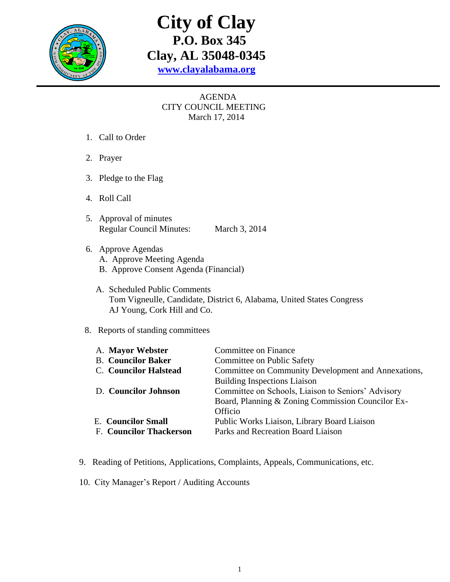

## **City of Clay P.O. Box 345 Clay, AL 35048-0345 [www.clayalabama.org](http://www.clayalabama.org/)**

## AGENDA CITY COUNCIL MEETING March 17, 2014

- 1. Call to Order
- 2. Prayer
- 3. Pledge to the Flag
- 4. Roll Call
- 5. Approval of minutes Regular Council Minutes: March 3, 2014
- 6. Approve Agendas
	- A. Approve Meeting Agenda
	- B. Approve Consent Agenda (Financial)
	- A. Scheduled Public Comments Tom Vigneulle, Candidate, District 6, Alabama, United States Congress AJ Young, Cork Hill and Co.

## 8. Reports of standing committees

| Committee on Finance                                |
|-----------------------------------------------------|
| Committee on Public Safety                          |
| Committee on Community Development and Annexations, |
| <b>Building Inspections Liaison</b>                 |
| Committee on Schools, Liaison to Seniors' Advisory  |
| Board, Planning & Zoning Commission Councilor Ex-   |
| Officio                                             |
| Public Works Liaison, Library Board Liaison         |
| Parks and Recreation Board Liaison                  |
|                                                     |

- 9. Reading of Petitions, Applications, Complaints, Appeals, Communications, etc.
- 10. City Manager's Report / Auditing Accounts